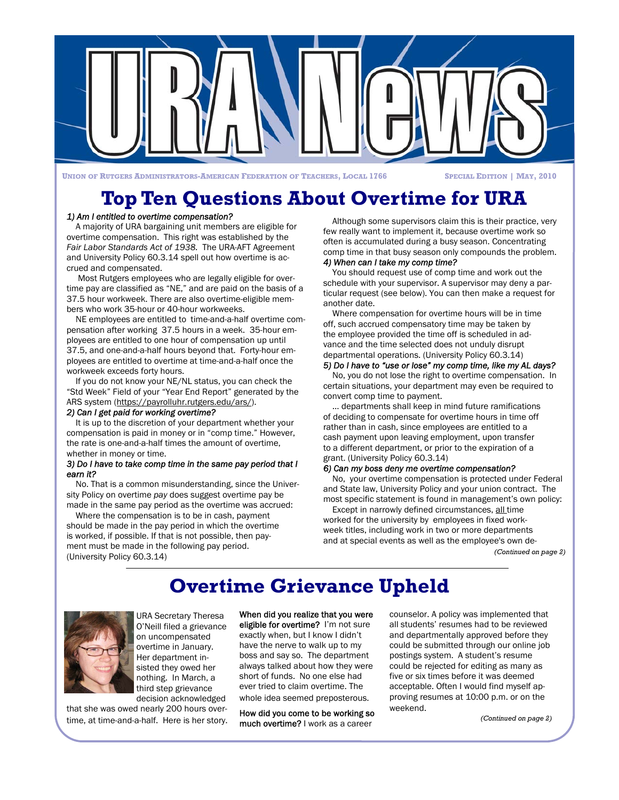

**UNION OF RUTGERS ADMINISTRATORS-AMERICAN FEDERATION OF TEACHERS, LOCAL 1766 SPECIAL EDITION | MAY, 2010** 

## **Top Ten Questions About Overtime for URA**

### *1) Am I entitled to overtime compensation?*

A majority of URA bargaining unit members are eligible for overtime compensation. This right was established by the *Fair Labor Standards Act of 1938.* The URA-AFT Agreement and University Policy 60.3.14 spell out how overtime is accrued and compensated.

 Most Rutgers employees who are legally eligible for overtime pay are classified as "NE," and are paid on the basis of a 37.5 hour workweek. There are also overtime-eligible members who work 35-hour or 40-hour workweeks.

NE employees are entitled to time-and-a-half overtime compensation after working 37.5 hours in a week. 35-hour employees are entitled to one hour of compensation up until 37.5, and one-and-a-half hours beyond that. Forty-hour employees are entitled to overtime at time-and-a-half once the workweek exceeds forty hours.

If you do not know your NE/NL status, you can check the "Std Week" Field of your "Year End Report" generated by the ARS system (https://payrolluhr.rutgers.edu/ars/).

### *2) Can I get paid for working overtime?*

It is up to the discretion of your department whether your compensation is paid in money or in "comp time." However, the rate is one-and-a-half times the amount of overtime, whether in money or time.

#### *3) Do I have to take comp time in the same pay period that I earn it?*

No. That is a common misunderstanding, since the University Policy on overtime *pay* does suggest overtime pay be made in the same pay period as the overtime was accrued:

Where the compensation is to be in cash, payment should be made in the pay period in which the overtime is worked, if possible. If that is not possible, then payment must be made in the following pay period. (University Policy 60.3.14)

Although some supervisors claim this is their practice, very few really want to implement it, because overtime work so often is accumulated during a busy season. Concentrating comp time in that busy season only compounds the problem.

### *4) When can I take my comp time?*

You should request use of comp time and work out the schedule with your supervisor. A supervisor may deny a particular request (see below). You can then make a request for another date.

Where compensation for overtime hours will be in time off, such accrued compensatory time may be taken by the employee provided the time off is scheduled in advance and the time selected does not unduly disrupt departmental operations. (University Policy 60.3.14)

### *5) Do I have to "use or lose" my comp time, like my AL days?*

No, you do not lose the right to overtime compensation. In certain situations, your department may even be required to convert comp time to payment.

… departments shall keep in mind future ramifications of deciding to compensate for overtime hours in time off rather than in cash, since employees are entitled to a cash payment upon leaving employment, upon transfer to a different department, or prior to the expiration of a grant. (University Policy 60.3.14)

#### *6) Can my boss deny me overtime compensation?*

No, your overtime compensation is protected under Federal and State law, University Policy and your union contract. The most specific statement is found in management's own policy:

Except in narrowly defined circumstances, all time worked for the university by employees in fixed workweek titles, including work in two or more departments and at special events as well as the employee's own de-

*(Continued on page 2)* 

## **Overtime Grievance Upheld**



URA Secretary Theresa O'Neill filed a grievance on uncompensated overtime in January. Her department insisted they owed her nothing. In March, a third step grievance decision acknowledged

that she was owed nearly 200 hours overtime, at time-and-a-half. Here is her story. When did you realize that you were

eligible for overtime? I'm not sure exactly when, but I know I didn't have the nerve to walk up to my boss and say so. The department always talked about how they were short of funds. No one else had ever tried to claim overtime. The whole idea seemed preposterous.

How did you come to be working so much overtime? I work as a career

counselor. A policy was implemented that all students' resumes had to be reviewed and departmentally approved before they could be submitted through our online job postings system. A student's resume could be rejected for editing as many as five or six times before it was deemed acceptable. Often I would find myself approving resumes at 10:00 p.m. or on the weekend.

*(Continued on page 2)*